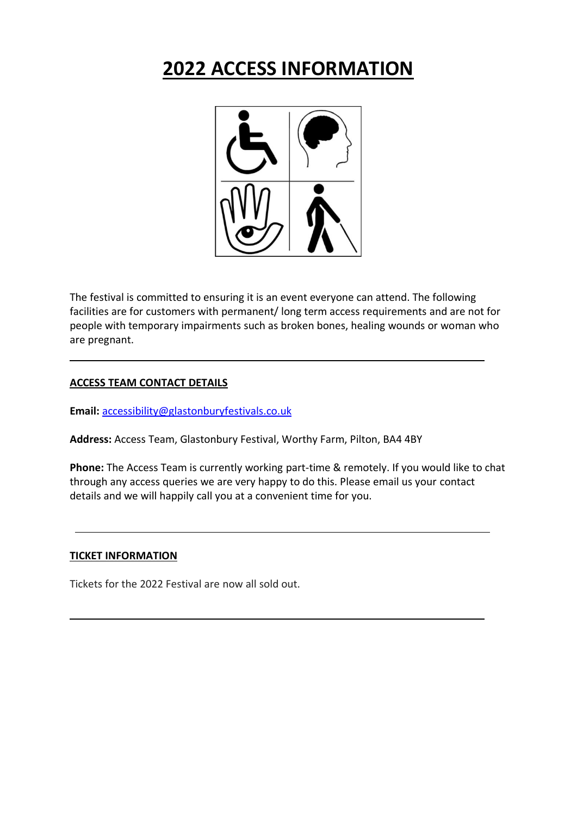# **2022 ACCESS INFORMATION**



The festival is committed to ensuring it is an event everyone can attend. The following facilities are for customers with permanent/ long term access requirements and are not for people with temporary impairments such as broken bones, healing wounds or woman who are pregnant.

#### **ACCESS TEAM CONTACT DETAILS**

**Email:** [accessibility@glastonburyfestivals.co.uk](mailto:accessibility@glastonburyfestivals.co.uk)

**Address:** Access Team, Glastonbury Festival, Worthy Farm, Pilton, BA4 4BY

**Phone:** The Access Team is currently working part-time & remotely. If you would like to chat through any access queries we are very happy to do this. Please email us your contact details and we will happily call you at a convenient time for you.

#### **TICKET INFORMATION**

Tickets for the 2022 Festival are now all sold out.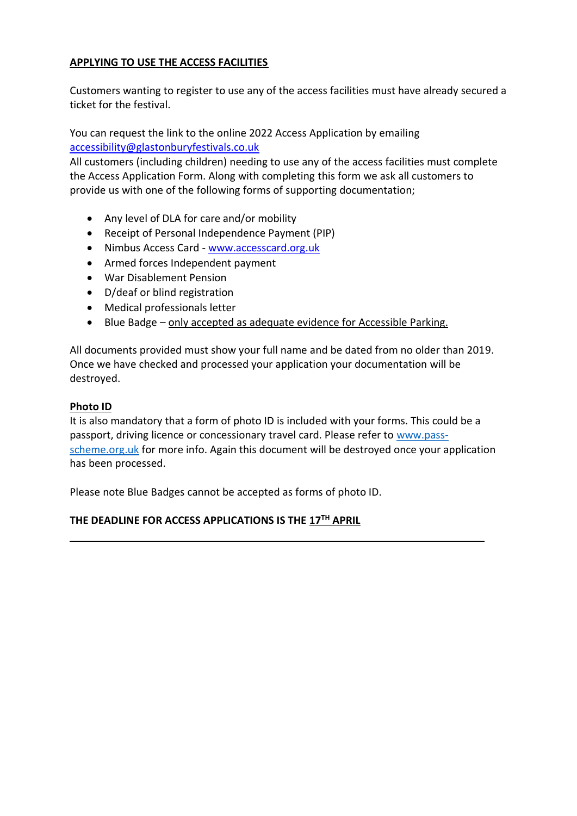# **APPLYING TO USE THE ACCESS FACILITIES**

Customers wanting to register to use any of the access facilities must have already secured a ticket for the festival.

You can request the link to the online 2022 Access Application by emailing [accessibility@glastonburyfestivals.co.uk](mailto:accessibility@glastonburyfestivals.co.uk)

All customers (including children) needing to use any of the access facilities must complete the Access Application Form. Along with completing this form we ask all customers to provide us with one of the following forms of supporting documentation;

- Any level of DLA for care and/or mobility
- Receipt of Personal Independence Payment (PIP)
- Nimbus Access Card [www.accesscard.org.uk](http://www.accesscard.org.uk/)
- Armed forces Independent payment
- War Disablement Pension
- D/deaf or blind registration
- Medical professionals letter
- Blue Badge only accepted as adequate evidence for Accessible Parking.

All documents provided must show your full name and be dated from no older than 2019. Once we have checked and processed your application your documentation will be destroyed.

## **Photo ID**

It is also mandatory that a form of photo ID is included with your forms. This could be a passport, driving licence or concessionary travel card. Please refer to [www.pass](http://www.pass-scheme.org.uk/)[scheme.org.uk](http://www.pass-scheme.org.uk/) for more info. Again this document will be destroyed once your application has been processed.

Please note Blue Badges cannot be accepted as forms of photo ID.

# **THE DEADLINE FOR ACCESS APPLICATIONS IS THE 17TH APRIL**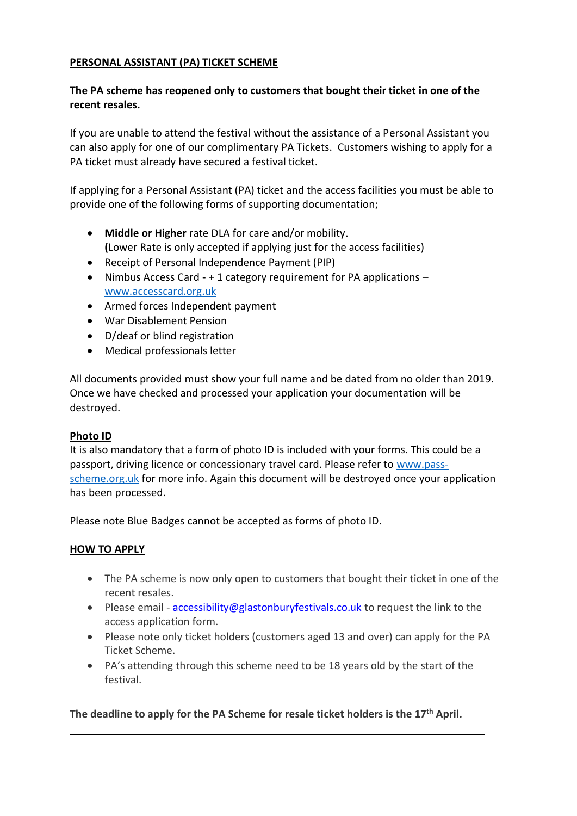# **PERSONAL ASSISTANT (PA) TICKET SCHEME**

# **The PA scheme has reopened only to customers that bought their ticket in one of the recent resales.**

If you are unable to attend the festival without the assistance of a Personal Assistant you can also apply for one of our complimentary PA Tickets. Customers wishing to apply for a PA ticket must already have secured a festival ticket.

If applying for a Personal Assistant (PA) ticket and the access facilities you must be able to provide one of the following forms of supporting documentation;

- **Middle or Higher** rate DLA for care and/or mobility. **(**Lower Rate is only accepted if applying just for the access facilities)
- Receipt of Personal Independence Payment (PIP)
- Nimbus Access Card + 1 category requirement for PA applications [www.accesscard.org.uk](http://www.accesscard.org.uk/)
- Armed forces Independent payment
- War Disablement Pension
- D/deaf or blind registration
- Medical professionals letter

All documents provided must show your full name and be dated from no older than 2019. Once we have checked and processed your application your documentation will be destroyed.

# **Photo ID**

It is also mandatory that a form of photo ID is included with your forms. This could be a passport, driving licence or concessionary travel card. Please refer to [www.pass](http://www.pass-scheme.org.uk/)[scheme.org.uk](http://www.pass-scheme.org.uk/) for more info. Again this document will be destroyed once your application has been processed.

Please note Blue Badges cannot be accepted as forms of photo ID.

# **HOW TO APPLY**

- The PA scheme is now only open to customers that bought their ticket in one of the recent resales.
- Please email [accessibility@glastonburyfestivals.co.uk](mailto:accessibility@glastonburyfestivals.co.uk) to request the link to the access application form.
- Please note only ticket holders (customers aged 13 and over) can apply for the PA Ticket Scheme.
- PA's attending through this scheme need to be 18 years old by the start of the festival.

**The deadline to apply for the PA Scheme for resale ticket holders is the 17th April.**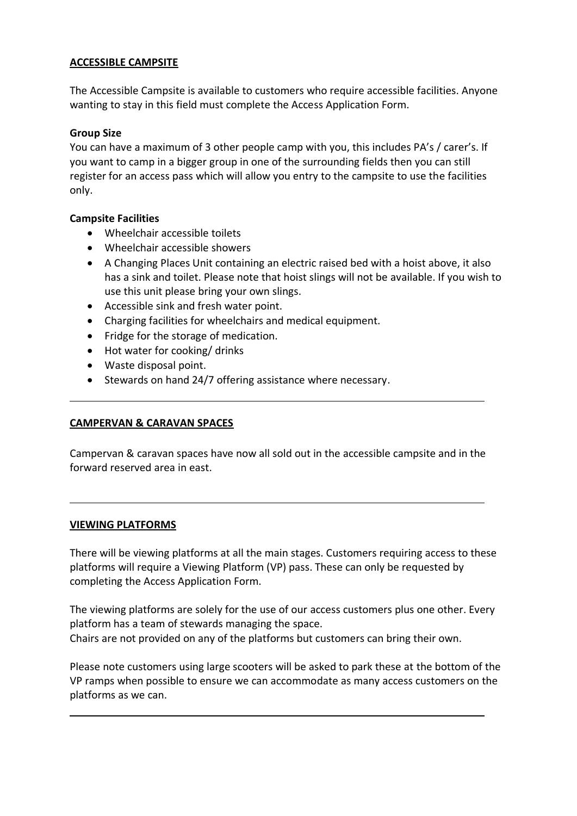## **ACCESSIBLE CAMPSITE**

The Accessible Campsite is available to customers who require accessible facilities. Anyone wanting to stay in this field must complete the Access Application Form.

## **Group Size**

You can have a maximum of 3 other people camp with you, this includes PA's / carer's. If you want to camp in a bigger group in one of the surrounding fields then you can still register for an access pass which will allow you entry to the campsite to use the facilities only.

## **Campsite Facilities**

- Wheelchair accessible toilets
- Wheelchair accessible showers
- A Changing Places Unit containing an electric raised bed with a hoist above, it also has a sink and toilet. Please note that hoist slings will not be available. If you wish to use this unit please bring your own slings.
- Accessible sink and fresh water point.
- Charging facilities for wheelchairs and medical equipment.
- Fridge for the storage of medication.
- Hot water for cooking/ drinks
- Waste disposal point.
- Stewards on hand 24/7 offering assistance where necessary.

# **CAMPERVAN & CARAVAN SPACES**

Campervan & caravan spaces have now all sold out in the accessible campsite and in the forward reserved area in east.

#### **VIEWING PLATFORMS**

There will be viewing platforms at all the main stages. Customers requiring access to these platforms will require a Viewing Platform (VP) pass. These can only be requested by completing the Access Application Form.

The viewing platforms are solely for the use of our access customers plus one other. Every platform has a team of stewards managing the space. Chairs are not provided on any of the platforms but customers can bring their own.

Please note customers using large scooters will be asked to park these at the bottom of the VP ramps when possible to ensure we can accommodate as many access customers on the platforms as we can.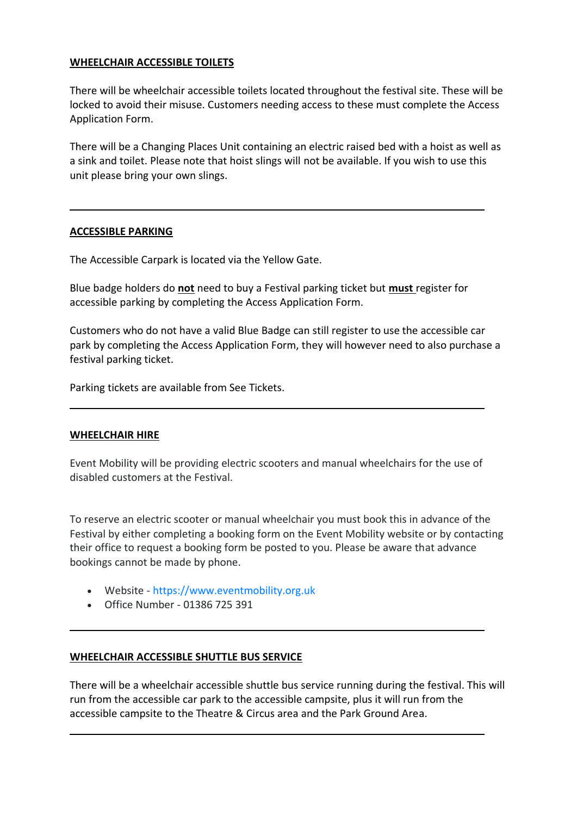## **WHEELCHAIR ACCESSIBLE TOILETS**

There will be wheelchair accessible toilets located throughout the festival site. These will be locked to avoid their misuse. Customers needing access to these must complete the Access Application Form.

There will be a Changing Places Unit containing an electric raised bed with a hoist as well as a sink and toilet. Please note that hoist slings will not be available. If you wish to use this unit please bring your own slings.

#### **ACCESSIBLE PARKING**

The Accessible Carpark is located via the Yellow Gate.

Blue badge holders do **not** need to buy a Festival parking ticket but **must** register for accessible parking by completing the Access Application Form.

Customers who do not have a valid Blue Badge can still register to use the accessible car park by completing the Access Application Form, they will however need to also purchase a festival parking ticket.

Parking tickets are available from See Tickets.

#### **WHEELCHAIR HIRE**

Event Mobility will be providing electric scooters and manual wheelchairs for the use of disabled customers at the Festival.

To reserve an electric scooter or manual wheelchair you must book this in advance of the Festival by either completing a booking form on the Event Mobility website or by contacting their office to request a booking form be posted to you. Please be aware that advance bookings cannot be made by phone.

- Website [https://www.eventmobility.org.uk](https://www.eventmobility.org.uk/)
- Office Number 01386 725 391

#### **WHEELCHAIR ACCESSIBLE SHUTTLE BUS SERVICE**

There will be a wheelchair accessible shuttle bus service running during the festival. This will run from the accessible car park to the accessible campsite, plus it will run from the accessible campsite to the Theatre & Circus area and the Park Ground Area.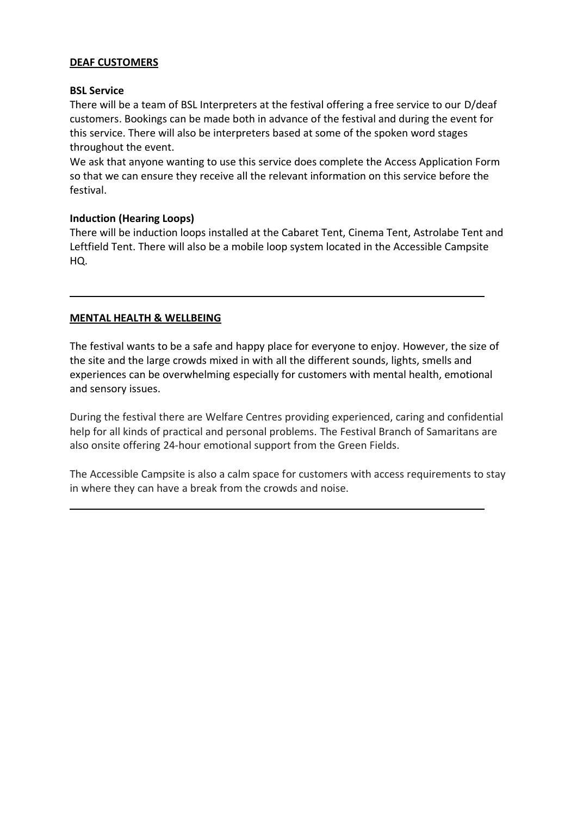## **DEAF CUSTOMERS**

## **BSL Service**

There will be a team of BSL Interpreters at the festival offering a free service to our D/deaf customers. Bookings can be made both in advance of the festival and during the event for this service. There will also be interpreters based at some of the spoken word stages throughout the event.

We ask that anyone wanting to use this service does complete the Access Application Form so that we can ensure they receive all the relevant information on this service before the festival.

## **Induction (Hearing Loops)**

There will be induction loops installed at the Cabaret Tent, Cinema Tent, Astrolabe Tent and Leftfield Tent. There will also be a mobile loop system located in the Accessible Campsite HQ.

# **MENTAL HEALTH & WELLBEING**

The festival wants to be a safe and happy place for everyone to enjoy. However, the size of the site and the large crowds mixed in with all the different sounds, lights, smells and experiences can be overwhelming especially for customers with mental health, emotional and sensory issues.

During the festival there are Welfare Centres providing experienced, caring and confidential help for all kinds of practical and personal problems. The Festival Branch of Samaritans are also onsite offering 24-hour emotional support from the Green Fields.

The Accessible Campsite is also a calm space for customers with access requirements to stay in where they can have a break from the crowds and noise.